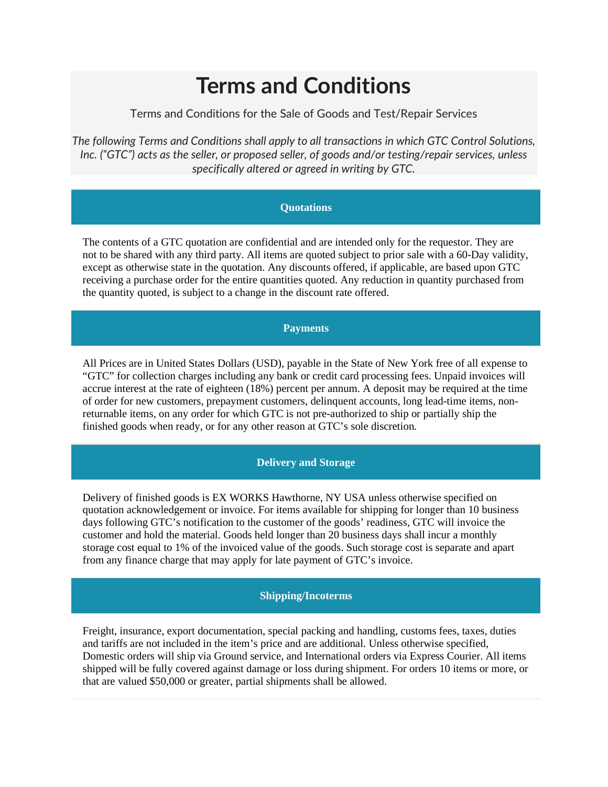# **Terms and Conditions**

Terms and Conditions for the Sale of Goods and Test/Repair Services

*The following Terms and Conditions shall apply to all transactions in which GTC Control Solutions, Inc. ("GTC") acts as the seller, or proposed seller, of goods and/or testing/repair services, unless specifically altered or agreed in writing by GTC.*

# **Quotations**

The contents of a GTC quotation are confidential and are intended only for the requestor. They are not to be shared with any third party. All items are quoted subject to prior sale with a 60-Day validity, except as otherwise state in the quotation. Any discounts offered, if applicable, are based upon GTC receiving a purchase order for the entire quantities quoted. Any reduction in quantity purchased from the quantity quoted, is subject to a change in the discount rate offered.

# **Payments**

All Prices are in United States Dollars (USD), payable in the State of New York free of all expense to "GTC" for collection charges including any bank or credit card processing fees. Unpaid invoices will accrue interest at the rate of eighteen (18%) percent per annum. A deposit may be required at the time of order for new customers, prepayment customers, delinquent accounts, long lead-time items, nonreturnable items, on any order for which GTC is not pre-authorized to ship or partially ship the finished goods when ready, or for any other reason at GTC's sole discretion.

# **Delivery and Storage**

Delivery of finished goods is EX WORKS Hawthorne, NY USA unless otherwise specified on quotation acknowledgement or invoice. For items available for shipping for longer than 10 business days following GTC's notification to the customer of the goods' readiness, GTC will invoice the customer and hold the material. Goods held longer than 20 business days shall incur a monthly storage cost equal to 1% of the invoiced value of the goods. Such storage cost is separate and apart from any finance charge that may apply for late payment of GTC's invoice.

# **Shipping/Incoterms**

Freight, insurance, export documentation, special packing and handling, customs fees, taxes, duties and tariffs are not included in the item's price and are additional. Unless otherwise specified, Domestic orders will ship via Ground service, and International orders via Express Courier. All items shipped will be fully covered against damage or loss during shipment. For orders 10 items or more, or that are valued \$50,000 or greater, partial shipments shall be allowed.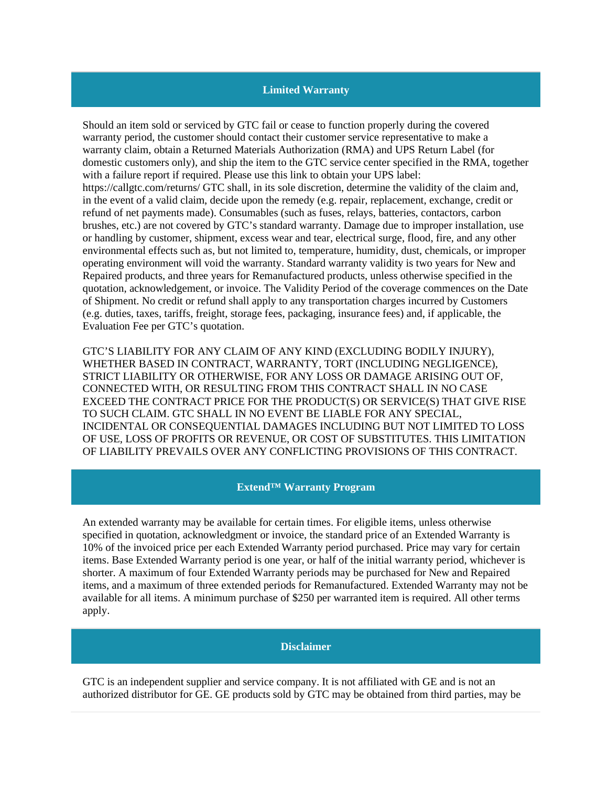# **Limited Warranty**

Should an item sold or serviced by GTC fail or cease to function properly during the covered warranty period, the customer should contact their customer service representative to make a warranty claim, obtain a Returned Materials Authorization (RMA) and UPS Return Label (for domestic customers only), and ship the item to the GTC service center specified in the RMA, together with a failure report if required. Please use this link to obtain your UPS label: https://callgtc.com/returns/ GTC shall, in its sole discretion, determine the validity of the claim and, in the event of a valid claim, decide upon the remedy (e.g. repair, replacement, exchange, credit or refund of net payments made). Consumables (such as fuses, relays, batteries, contactors, carbon brushes, etc.) are not covered by GTC's standard warranty. Damage due to improper installation, use or handling by customer, shipment, excess wear and tear, electrical surge, flood, fire, and any other environmental effects such as, but not limited to, temperature, humidity, dust, chemicals, or improper operating environment will void the warranty. Standard warranty validity is two years for New and Repaired products, and three years for Remanufactured products, unless otherwise specified in the quotation, acknowledgement, or invoice. The Validity Period of the coverage commences on the Date of Shipment. No credit or refund shall apply to any transportation charges incurred by Customers (e.g. duties, taxes, tariffs, freight, storage fees, packaging, insurance fees) and, if applicable, the Evaluation Fee per GTC's quotation.

GTC'S LIABILITY FOR ANY CLAIM OF ANY KIND (EXCLUDING BODILY INJURY), WHETHER BASED IN CONTRACT, WARRANTY, TORT (INCLUDING NEGLIGENCE), STRICT LIABILITY OR OTHERWISE, FOR ANY LOSS OR DAMAGE ARISING OUT OF, CONNECTED WITH, OR RESULTING FROM THIS CONTRACT SHALL IN NO CASE EXCEED THE CONTRACT PRICE FOR THE PRODUCT(S) OR SERVICE(S) THAT GIVE RISE TO SUCH CLAIM. GTC SHALL IN NO EVENT BE LIABLE FOR ANY SPECIAL, INCIDENTAL OR CONSEQUENTIAL DAMAGES INCLUDING BUT NOT LIMITED TO LOSS OF USE, LOSS OF PROFITS OR REVENUE, OR COST OF SUBSTITUTES. THIS LIMITATION OF LIABILITY PREVAILS OVER ANY CONFLICTING PROVISIONS OF THIS CONTRACT.

# **Extend™ Warranty Program**

An extended warranty may be available for certain times. For eligible items, unless otherwise specified in quotation, acknowledgment or invoice, the standard price of an Extended Warranty is 10% of the invoiced price per each Extended Warranty period purchased. Price may vary for certain items. Base Extended Warranty period is one year, or half of the initial warranty period, whichever is shorter. A maximum of four Extended Warranty periods may be purchased for New and Repaired items, and a maximum of three extended periods for Remanufactured. Extended Warranty may not be available for all items. A minimum purchase of \$250 per warranted item is required. All other terms apply.

#### **Disclaimer**

GTC is an independent supplier and service company. It is not affiliated with GE and is not an authorized distributor for GE. GE products sold by GTC may be obtained from third parties, may be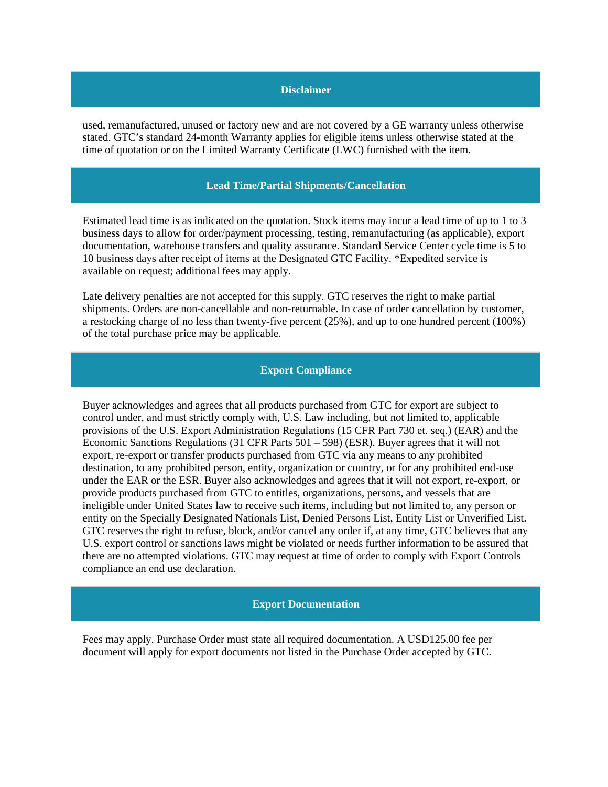# **Disclaimer**

used, remanufactured, unused or factory new and are not covered by a GE warranty unless otherwise stated. GTC's standard 24-month Warranty applies for eligible items unless otherwise stated at the time of quotation or on the Limited Warranty Certificate (LWC) furnished with the item.

## **Lead Time/Partial Shipments/Cancellation**

Estimated lead time is as indicated on the quotation. Stock items may incur a lead time of up to 1 to 3 business days to allow for order/payment processing, testing, remanufacturing (as applicable), export documentation, warehouse transfers and quality assurance. Standard Service Center cycle time is 5 to 10 business days after receipt of items at the Designated GTC Facility. \*Expedited service is available on request; additional fees may apply.

Late delivery penalties are not accepted for this supply. GTC reserves the right to make partial shipments. Orders are non-cancellable and non-returnable. In case of order cancellation by customer, a restocking charge of no less than twenty-five percent (25%), and up to one hundred percent (100%) of the total purchase price may be applicable.

## **Export Compliance**

Buyer acknowledges and agrees that all products purchased from GTC for export are subject to control under, and must strictly comply with, U.S. Law including, but not limited to, applicable provisions of the U.S. Export Administration Regulations (15 CFR Part 730 et. seq.) (EAR) and the Economic Sanctions Regulations (31 CFR Parts 501 – 598) (ESR). Buyer agrees that it will not export, re-export or transfer products purchased from GTC via any means to any prohibited destination, to any prohibited person, entity, organization or country, or for any prohibited end-use under the EAR or the ESR. Buyer also acknowledges and agrees that it will not export, re-export, or provide products purchased from GTC to entitles, organizations, persons, and vessels that are ineligible under United States law to receive such items, including but not limited to, any person or entity on the Specially Designated Nationals List, Denied Persons List, Entity List or Unverified List. GTC reserves the right to refuse, block, and/or cancel any order if, at any time, GTC believes that any U.S. export control or sanctions laws might be violated or needs further information to be assured that there are no attempted violations. GTC may request at time of order to comply with Export Controls compliance an end use declaration.

#### **Export Documentation**

Fees may apply. Purchase Order must state all required documentation. A USD125.00 fee per document will apply for export documents not listed in the Purchase Order accepted by GTC.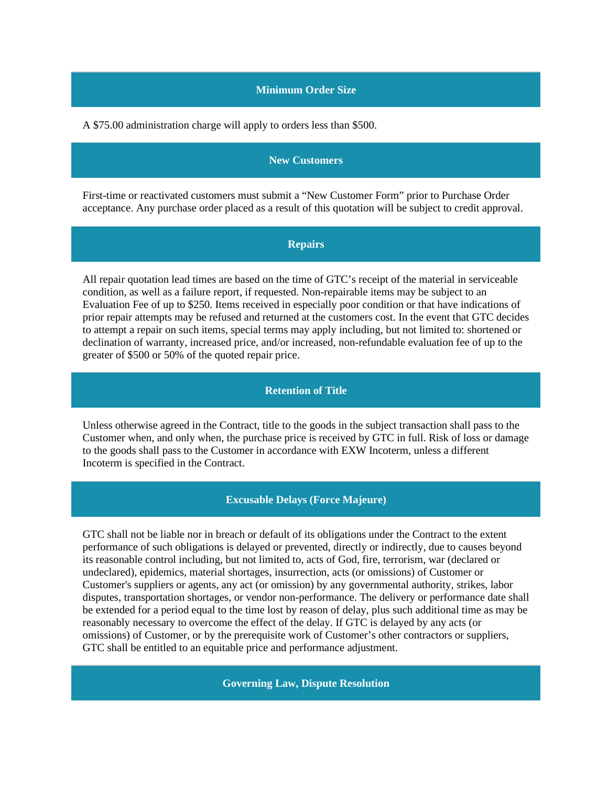# **Minimum Order Size**

A \$75.00 administration charge will apply to orders less than \$500.

## **New Customers**

First-time or reactivated customers must submit a "New Customer Form" prior to Purchase Order acceptance. Any purchase order placed as a result of this quotation will be subject to credit approval.

#### **Repairs**

All repair quotation lead times are based on the time of GTC's receipt of the material in serviceable condition, as well as a failure report, if requested. Non-repairable items may be subject to an Evaluation Fee of up to \$250. Items received in especially poor condition or that have indications of prior repair attempts may be refused and returned at the customers cost. In the event that GTC decides to attempt a repair on such items, special terms may apply including, but not limited to: shortened or declination of warranty, increased price, and/or increased, non-refundable evaluation fee of up to the greater of \$500 or 50% of the quoted repair price.

#### **Retention of Title**

Unless otherwise agreed in the Contract, title to the goods in the subject transaction shall pass to the Customer when, and only when, the purchase price is received by GTC in full. Risk of loss or damage to the goods shall pass to the Customer in accordance with EXW Incoterm, unless a different Incoterm is specified in the Contract.

## **Excusable Delays (Force Majeure)**

GTC shall not be liable nor in breach or default of its obligations under the Contract to the extent performance of such obligations is delayed or prevented, directly or indirectly, due to causes beyond its reasonable control including, but not limited to, acts of God, fire, terrorism, war (declared or undeclared), epidemics, material shortages, insurrection, acts (or omissions) of Customer or Customer's suppliers or agents, any act (or omission) by any governmental authority, strikes, labor disputes, transportation shortages, or vendor non-performance. The delivery or performance date shall be extended for a period equal to the time lost by reason of delay, plus such additional time as may be reasonably necessary to overcome the effect of the delay. If GTC is delayed by any acts (or omissions) of Customer, or by the prerequisite work of Customer's other contractors or suppliers, GTC shall be entitled to an equitable price and performance adjustment.

**Governing Law, Dispute Resolution**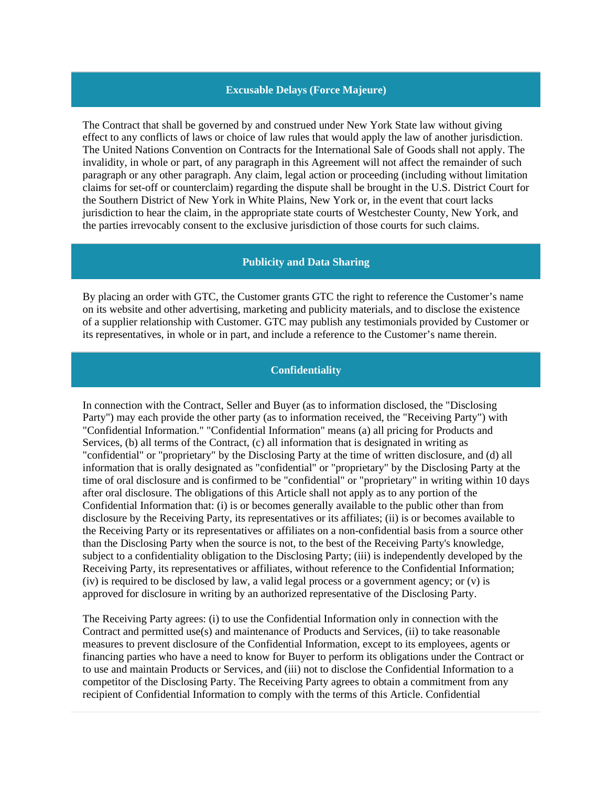## **Excusable Delays (Force Majeure)**

The Contract that shall be governed by and construed under New York State law without giving effect to any conflicts of laws or choice of law rules that would apply the law of another jurisdiction. The United Nations Convention on Contracts for the International Sale of Goods shall not apply. The invalidity, in whole or part, of any paragraph in this Agreement will not affect the remainder of such paragraph or any other paragraph. Any claim, legal action or proceeding (including without limitation claims for set-off or counterclaim) regarding the dispute shall be brought in the U.S. District Court for the Southern District of New York in White Plains, New York or, in the event that court lacks jurisdiction to hear the claim, in the appropriate state courts of Westchester County, New York, and the parties irrevocably consent to the exclusive jurisdiction of those courts for such claims.

## **Publicity and Data Sharing**

By placing an order with GTC, the Customer grants GTC the right to reference the Customer's name on its website and other advertising, marketing and publicity materials, and to disclose the existence of a supplier relationship with Customer. GTC may publish any testimonials provided by Customer or its representatives, in whole or in part, and include a reference to the Customer's name therein.

#### **Confidentiality**

In connection with the Contract, Seller and Buyer (as to information disclosed, the "Disclosing Party") may each provide the other party (as to information received, the "Receiving Party") with "Confidential Information." "Confidential Information" means (a) all pricing for Products and Services, (b) all terms of the Contract, (c) all information that is designated in writing as "confidential" or "proprietary" by the Disclosing Party at the time of written disclosure, and (d) all information that is orally designated as "confidential" or "proprietary" by the Disclosing Party at the time of oral disclosure and is confirmed to be "confidential" or "proprietary" in writing within 10 days after oral disclosure. The obligations of this Article shall not apply as to any portion of the Confidential Information that: (i) is or becomes generally available to the public other than from disclosure by the Receiving Party, its representatives or its affiliates; (ii) is or becomes available to the Receiving Party or its representatives or affiliates on a non-confidential basis from a source other than the Disclosing Party when the source is not, to the best of the Receiving Party's knowledge, subject to a confidentiality obligation to the Disclosing Party; (iii) is independently developed by the Receiving Party, its representatives or affiliates, without reference to the Confidential Information; (iv) is required to be disclosed by law, a valid legal process or a government agency; or (v) is approved for disclosure in writing by an authorized representative of the Disclosing Party.

The Receiving Party agrees: (i) to use the Confidential Information only in connection with the Contract and permitted use(s) and maintenance of Products and Services, (ii) to take reasonable measures to prevent disclosure of the Confidential Information, except to its employees, agents or financing parties who have a need to know for Buyer to perform its obligations under the Contract or to use and maintain Products or Services, and (iii) not to disclose the Confidential Information to a competitor of the Disclosing Party. The Receiving Party agrees to obtain a commitment from any recipient of Confidential Information to comply with the terms of this Article. Confidential